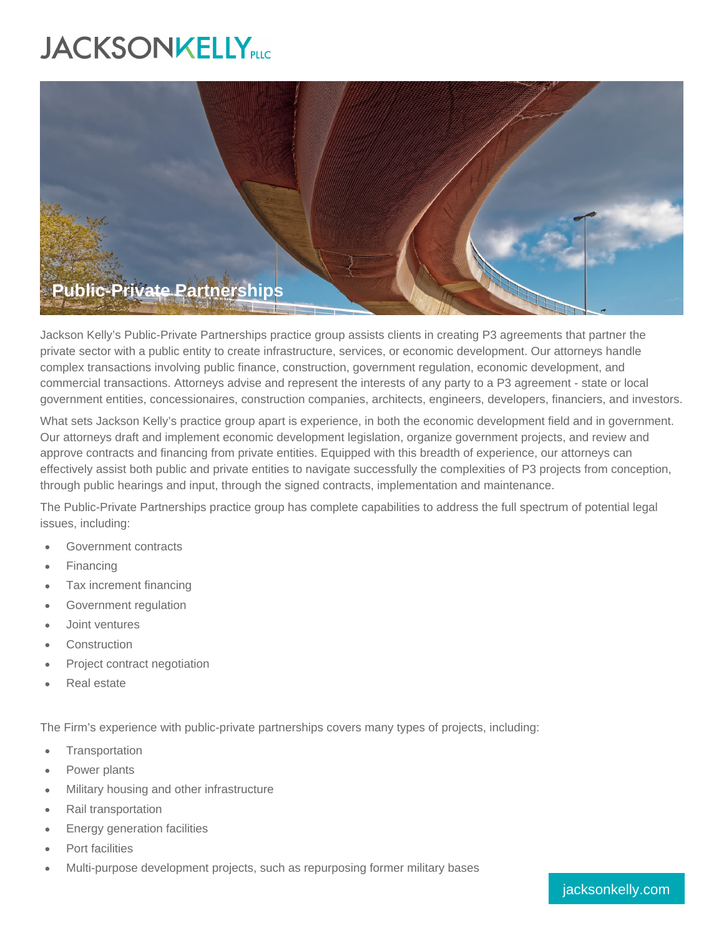## **JACKSONKELLY**PLC



Jackson Kelly's Public-Private Partnerships practice group assists clients in creating P3 agreements that partner the private sector with a public entity to create infrastructure, services, or economic development. Our attorneys handle complex transactions involving public finance, construction, government regulation, economic development, and commercial transactions. Attorneys advise and represent the interests of any party to a P3 agreement - state or local government entities, concessionaires, construction companies, architects, engineers, developers, financiers, and investors.

What sets Jackson Kelly's practice group apart is experience, in both the economic development field and in government. Our attorneys draft and implement economic development legislation, organize government projects, and review and approve contracts and financing from private entities. Equipped with this breadth of experience, our attorneys can effectively assist both public and private entities to navigate successfully the complexities of P3 projects from conception, through public hearings and input, through the signed contracts, implementation and maintenance.

The Public-Private Partnerships practice group has complete capabilities to address the full spectrum of potential legal issues, including:

- Government contracts
- Financing
- Tax increment financing
- Government regulation
- Joint ventures
- **Construction**
- Project contract negotiation
- Real estate

The Firm's experience with public-private partnerships covers many types of projects, including:

- **Transportation**
- Power plants
- Military housing and other infrastructure
- Rail transportation
- Energy generation facilities
- Port facilities
- Multi-purpose development projects, such as repurposing former military bases